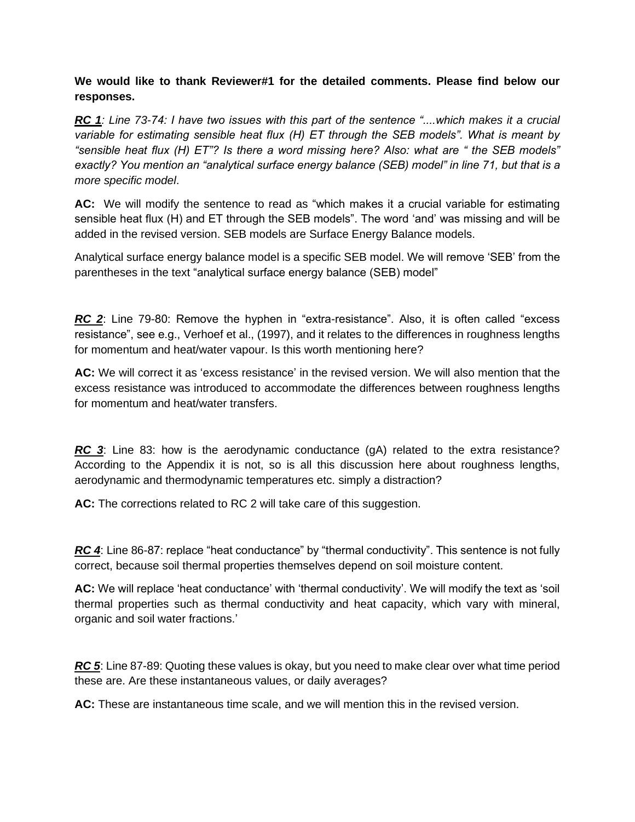**We would like to thank Reviewer#1 for the detailed comments. Please find below our responses.**

*RC 1: Line 73-74: I have two issues with this part of the sentence "....which makes it a crucial variable for estimating sensible heat flux (H) ET through the SEB models". What is meant by "sensible heat flux (H) ET"? Is there a word missing here? Also: what are " the SEB models" exactly? You mention an "analytical surface energy balance (SEB) model" in line 71, but that is a more specific model*.

**AC:** We will modify the sentence to read as "which makes it a crucial variable for estimating sensible heat flux (H) and ET through the SEB models". The word 'and' was missing and will be added in the revised version. SEB models are Surface Energy Balance models.

Analytical surface energy balance model is a specific SEB model. We will remove 'SEB' from the parentheses in the text "analytical surface energy balance (SEB) model"

*RC 2*: Line 79-80: Remove the hyphen in "extra-resistance". Also, it is often called "excess resistance", see e.g., Verhoef et al., (1997), and it relates to the differences in roughness lengths for momentum and heat/water vapour. Is this worth mentioning here?

**AC:** We will correct it as 'excess resistance' in the revised version. We will also mention that the excess resistance was introduced to accommodate the differences between roughness lengths for momentum and heat/water transfers.

**RC** 3: Line 83: how is the aerodynamic conductance (gA) related to the extra resistance? According to the Appendix it is not, so is all this discussion here about roughness lengths, aerodynamic and thermodynamic temperatures etc. simply a distraction?

**AC:** The corrections related to RC 2 will take care of this suggestion.

*RC* 4: Line 86-87: replace "heat conductance" by "thermal conductivity". This sentence is not fully correct, because soil thermal properties themselves depend on soil moisture content.

**AC:** We will replace 'heat conductance' with 'thermal conductivity'. We will modify the text as 'soil thermal properties such as thermal conductivity and heat capacity, which vary with mineral, organic and soil water fractions.'

*RC 5*: Line 87-89: Quoting these values is okay, but you need to make clear over what time period these are. Are these instantaneous values, or daily averages?

**AC:** These are instantaneous time scale, and we will mention this in the revised version.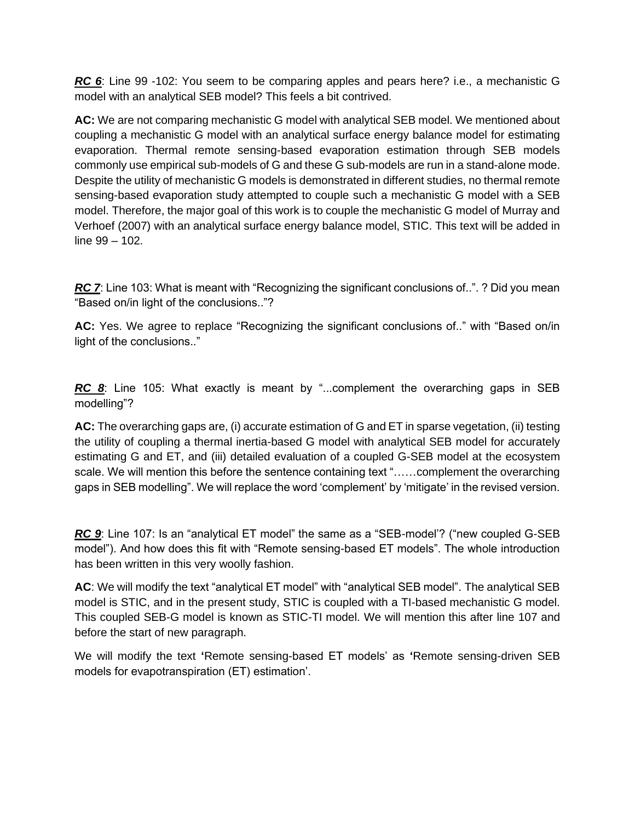*RC 6*: Line 99 -102: You seem to be comparing apples and pears here? i.e., a mechanistic G model with an analytical SEB model? This feels a bit contrived.

**AC:** We are not comparing mechanistic G model with analytical SEB model. We mentioned about coupling a mechanistic G model with an analytical surface energy balance model for estimating evaporation. Thermal remote sensing-based evaporation estimation through SEB models commonly use empirical sub-models of G and these G sub-models are run in a stand-alone mode. Despite the utility of mechanistic G models is demonstrated in different studies, no thermal remote sensing-based evaporation study attempted to couple such a mechanistic G model with a SEB model. Therefore, the major goal of this work is to couple the mechanistic G model of Murray and Verhoef (2007) with an analytical surface energy balance model, STIC. This text will be added in line 99 – 102.

*RC 7*: Line 103: What is meant with "Recognizing the significant conclusions of..". ? Did you mean "Based on/in light of the conclusions.."?

**AC:** Yes. We agree to replace "Recognizing the significant conclusions of.." with "Based on/in light of the conclusions.."

*RC* 8: Line 105: What exactly is meant by "...complement the overarching gaps in SEB modelling"?

**AC:** The overarching gaps are, (i) accurate estimation of G and ET in sparse vegetation, (ii) testing the utility of coupling a thermal inertia-based G model with analytical SEB model for accurately estimating G and ET, and (iii) detailed evaluation of a coupled G-SEB model at the ecosystem scale. We will mention this before the sentence containing text "……complement the overarching gaps in SEB modelling". We will replace the word 'complement' by 'mitigate' in the revised version.

*RC 9*: Line 107: Is an "analytical ET model" the same as a "SEB-model'? ("new coupled G-SEB model"). And how does this fit with "Remote sensing-based ET models". The whole introduction has been written in this very woolly fashion.

**AC**: We will modify the text "analytical ET model" with "analytical SEB model". The analytical SEB model is STIC, and in the present study, STIC is coupled with a TI-based mechanistic G model. This coupled SEB-G model is known as STIC-TI model. We will mention this after line 107 and before the start of new paragraph.

We will modify the text **'**Remote sensing-based ET models' as **'**Remote sensing-driven SEB models for evapotranspiration (ET) estimation'.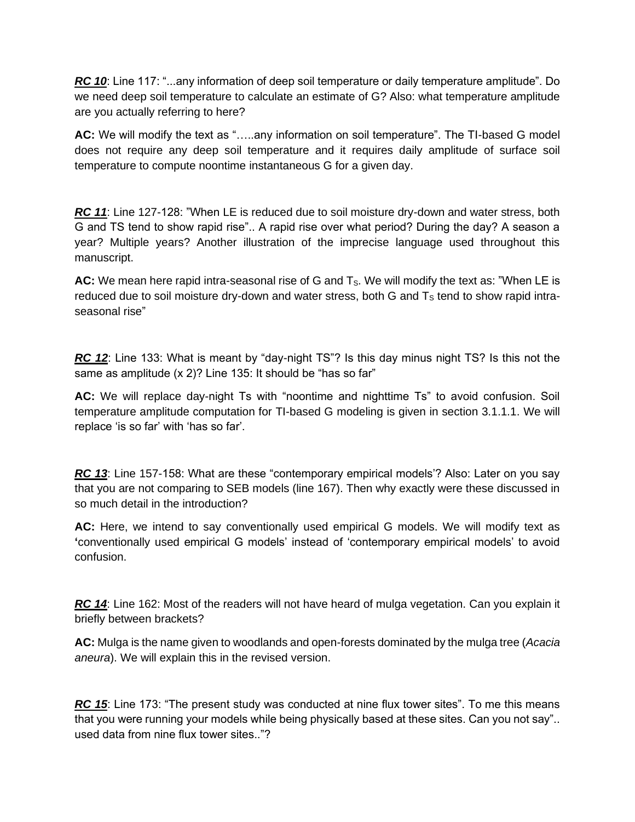*RC 10*: Line 117: "...any information of deep soil temperature or daily temperature amplitude". Do we need deep soil temperature to calculate an estimate of G? Also: what temperature amplitude are you actually referring to here?

**AC:** We will modify the text as "…..any information on soil temperature". The TI-based G model does not require any deep soil temperature and it requires daily amplitude of surface soil temperature to compute noontime instantaneous G for a given day.

*RC 11*: Line 127-128: "When LE is reduced due to soil moisture dry-down and water stress, both G and TS tend to show rapid rise".. A rapid rise over what period? During the day? A season a year? Multiple years? Another illustration of the imprecise language used throughout this manuscript.

AC: We mean here rapid intra-seasonal rise of G and T<sub>s</sub>. We will modify the text as: "When LE is reduced due to soil moisture dry-down and water stress, both G and  $T<sub>S</sub>$  tend to show rapid intraseasonal rise"

*RC* 12: Line 133: What is meant by "day-night TS"? Is this day minus night TS? Is this not the same as amplitude (x 2)? Line 135: It should be "has so far"

**AC:** We will replace day-night Ts with "noontime and nighttime Ts" to avoid confusion. Soil temperature amplitude computation for TI-based G modeling is given in section 3.1.1.1. We will replace 'is so far' with 'has so far'.

**RC 13:** Line 157-158: What are these "contemporary empirical models'? Also: Later on you say that you are not comparing to SEB models (line 167). Then why exactly were these discussed in so much detail in the introduction?

**AC:** Here, we intend to say conventionally used empirical G models. We will modify text as **'**conventionally used empirical G models' instead of 'contemporary empirical models' to avoid confusion.

*RC 14*: Line 162: Most of the readers will not have heard of mulga vegetation. Can you explain it briefly between brackets?

**AC:** Mulga is the name given to woodlands and open-forests dominated by the mulga tree (*Acacia aneura*). We will explain this in the revised version.

*RC 15*: Line 173: "The present study was conducted at nine flux tower sites". To me this means that you were running your models while being physically based at these sites. Can you not say".. used data from nine flux tower sites.."?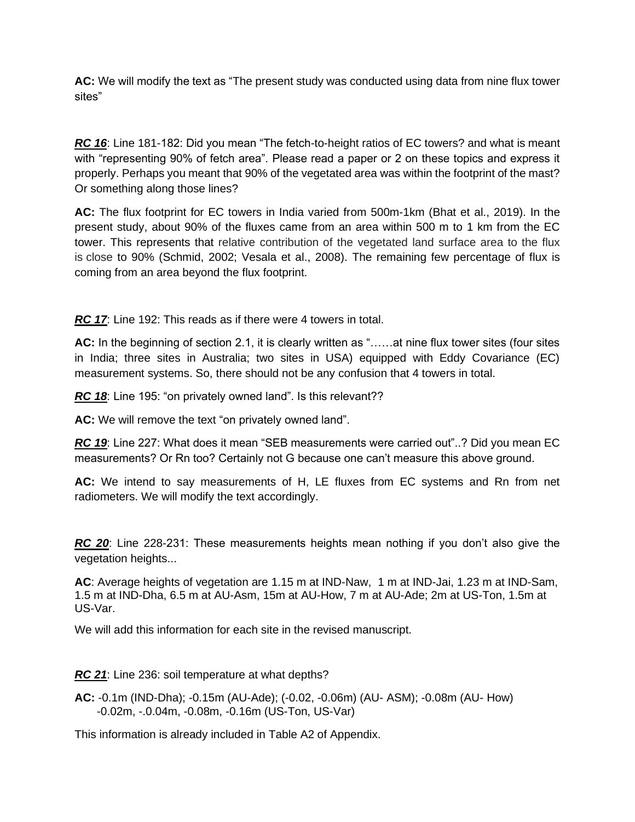**AC:** We will modify the text as "The present study was conducted using data from nine flux tower sites"

*RC 16*: Line 181-182: Did you mean "The fetch-to-height ratios of EC towers? and what is meant with "representing 90% of fetch area". Please read a paper or 2 on these topics and express it properly. Perhaps you meant that 90% of the vegetated area was within the footprint of the mast? Or something along those lines?

**AC:** The flux footprint for EC towers in India varied from 500m-1km (Bhat et al., 2019). In the present study, about 90% of the fluxes came from an area within 500 m to 1 km from the EC tower. This represents that relative contribution of the vegetated land surface area to the flux is close to 90% (Schmid, 2002; Vesala et al., 2008). The remaining few percentage of flux is coming from an area beyond the flux footprint.

*RC 17*: Line 192: This reads as if there were 4 towers in total.

**AC:** In the beginning of section 2.1, it is clearly written as "……at nine flux tower sites (four sites in India; three sites in Australia; two sites in USA) equipped with Eddy Covariance (EC) measurement systems. So, there should not be any confusion that 4 towers in total.

*RC 18*: Line 195: "on privately owned land". Is this relevant??

**AC:** We will remove the text "on privately owned land".

*RC 19*: Line 227: What does it mean "SEB measurements were carried out"..? Did you mean EC measurements? Or Rn too? Certainly not G because one can't measure this above ground.

**AC:** We intend to say measurements of H, LE fluxes from EC systems and Rn from net radiometers. We will modify the text accordingly.

*RC 20*: Line 228-231: These measurements heights mean nothing if you don't also give the vegetation heights...

**AC**: Average heights of vegetation are 1.15 m at IND-Naw, 1 m at IND-Jai, 1.23 m at IND-Sam, 1.5 m at IND-Dha, 6.5 m at AU-Asm, 15m at AU-How, 7 m at AU-Ade; 2m at US-Ton, 1.5m at US-Var.

We will add this information for each site in the revised manuscript.

*RC 21*: Line 236: soil temperature at what depths?

**AC:** -0.1m (IND-Dha); -0.15m (AU-Ade); (-0.02, -0.06m) (AU- ASM); -0.08m (AU- How) -0.02m, -.0.04m, -0.08m, -0.16m (US-Ton, US-Var)

This information is already included in Table A2 of Appendix.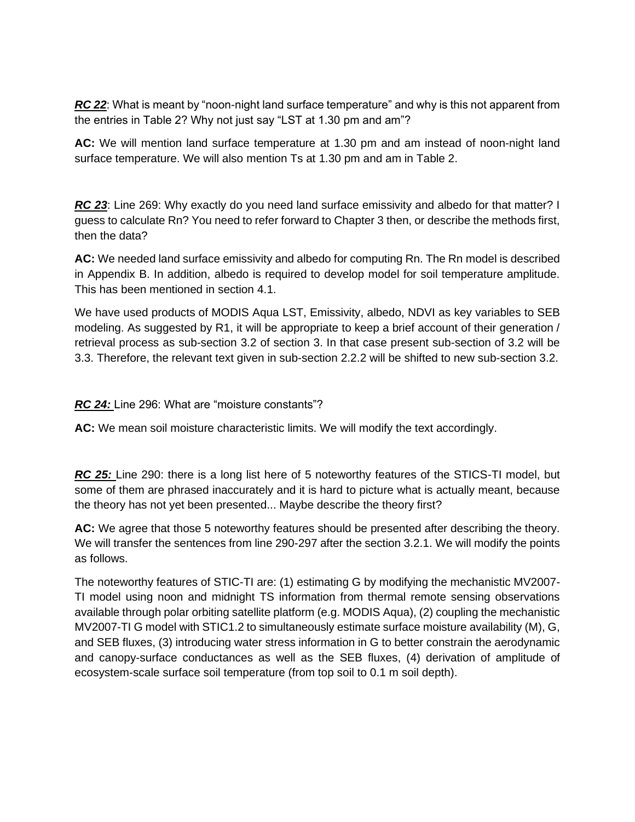*RC 22*: What is meant by "noon-night land surface temperature" and why is this not apparent from the entries in Table 2? Why not just say "LST at 1.30 pm and am"?

**AC:** We will mention land surface temperature at 1.30 pm and am instead of noon-night land surface temperature. We will also mention Ts at 1.30 pm and am in Table 2.

*RC 23*: Line 269: Why exactly do you need land surface emissivity and albedo for that matter? I guess to calculate Rn? You need to refer forward to Chapter 3 then, or describe the methods first, then the data?

**AC:** We needed land surface emissivity and albedo for computing Rn. The Rn model is described in Appendix B. In addition, albedo is required to develop model for soil temperature amplitude. This has been mentioned in section 4.1.

We have used products of MODIS Aqua LST, Emissivity, albedo, NDVI as key variables to SEB modeling. As suggested by R1, it will be appropriate to keep a brief account of their generation / retrieval process as sub-section 3.2 of section 3. In that case present sub-section of 3.2 will be 3.3. Therefore, the relevant text given in sub-section 2.2.2 will be shifted to new sub-section 3.2.

## *RC 24:* Line 296: What are "moisture constants"?

**AC:** We mean soil moisture characteristic limits. We will modify the text accordingly.

*RC 25:* Line 290: there is a long list here of 5 noteworthy features of the STICS-TI model, but some of them are phrased inaccurately and it is hard to picture what is actually meant, because the theory has not yet been presented... Maybe describe the theory first?

**AC:** We agree that those 5 noteworthy features should be presented after describing the theory. We will transfer the sentences from line 290-297 after the section 3.2.1. We will modify the points as follows.

The noteworthy features of STIC-TI are: (1) estimating G by modifying the mechanistic MV2007- TI model using noon and midnight TS information from thermal remote sensing observations available through polar orbiting satellite platform (e.g. MODIS Aqua), (2) coupling the mechanistic MV2007-TI G model with STIC1.2 to simultaneously estimate surface moisture availability (M), G, and SEB fluxes, (3) introducing water stress information in G to better constrain the aerodynamic and canopy-surface conductances as well as the SEB fluxes, (4) derivation of amplitude of ecosystem-scale surface soil temperature (from top soil to 0.1 m soil depth).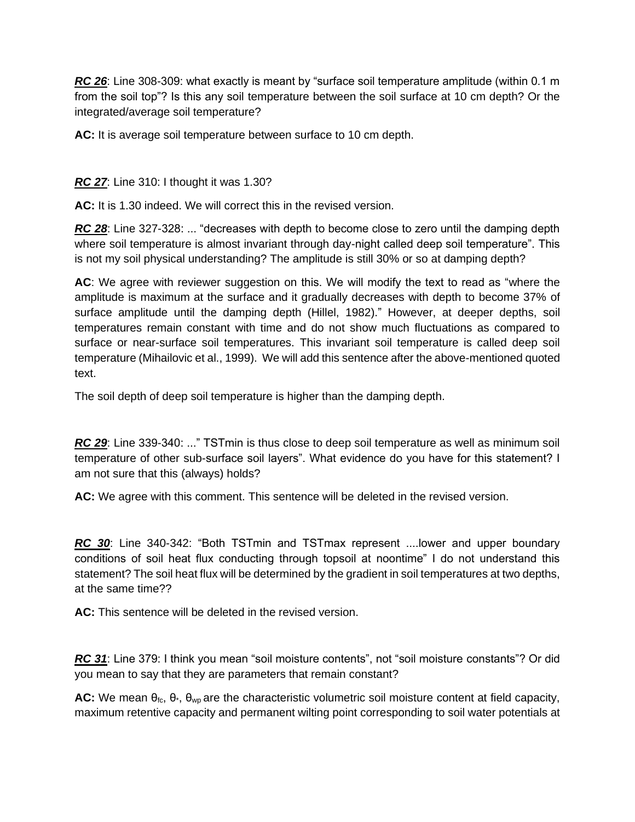*RC 26*: Line 308-309: what exactly is meant by "surface soil temperature amplitude (within 0.1 m from the soil top"? Is this any soil temperature between the soil surface at 10 cm depth? Or the integrated/average soil temperature?

**AC:** It is average soil temperature between surface to 10 cm depth.

*RC 27*: Line 310: I thought it was 1.30?

**AC:** It is 1.30 indeed. We will correct this in the revised version.

*RC 28*: Line 327-328: ... "decreases with depth to become close to zero until the damping depth where soil temperature is almost invariant through day-night called deep soil temperature". This is not my soil physical understanding? The amplitude is still 30% or so at damping depth?

**AC**: We agree with reviewer suggestion on this. We will modify the text to read as "where the amplitude is maximum at the surface and it gradually decreases with depth to become 37% of surface amplitude until the damping depth (Hillel, 1982)." However, at deeper depths, soil temperatures remain constant with time and do not show much fluctuations as compared to surface or near-surface soil temperatures. This invariant soil temperature is called deep soil temperature (Mihailovic et al., 1999). We will add this sentence after the above-mentioned quoted text.

The soil depth of deep soil temperature is higher than the damping depth.

*RC 29*: Line 339-340: ..." TSTmin is thus close to deep soil temperature as well as minimum soil temperature of other sub-surface soil layers". What evidence do you have for this statement? I am not sure that this (always) holds?

**AC:** We agree with this comment. This sentence will be deleted in the revised version.

*RC 30*: Line 340-342: "Both TSTmin and TSTmax represent ....lower and upper boundary conditions of soil heat flux conducting through topsoil at noontime" I do not understand this statement? The soil heat flux will be determined by the gradient in soil temperatures at two depths, at the same time??

**AC:** This sentence will be deleted in the revised version.

*RC 31*: Line 379: I think you mean "soil moisture contents", not "soil moisture constants"? Or did you mean to say that they are parameters that remain constant?

AC: We mean θ<sub>fc</sub>, θ<sub>\*</sub>, θ<sub>wp</sub> are the characteristic volumetric soil moisture content at field capacity, maximum retentive capacity and permanent wilting point corresponding to soil water potentials at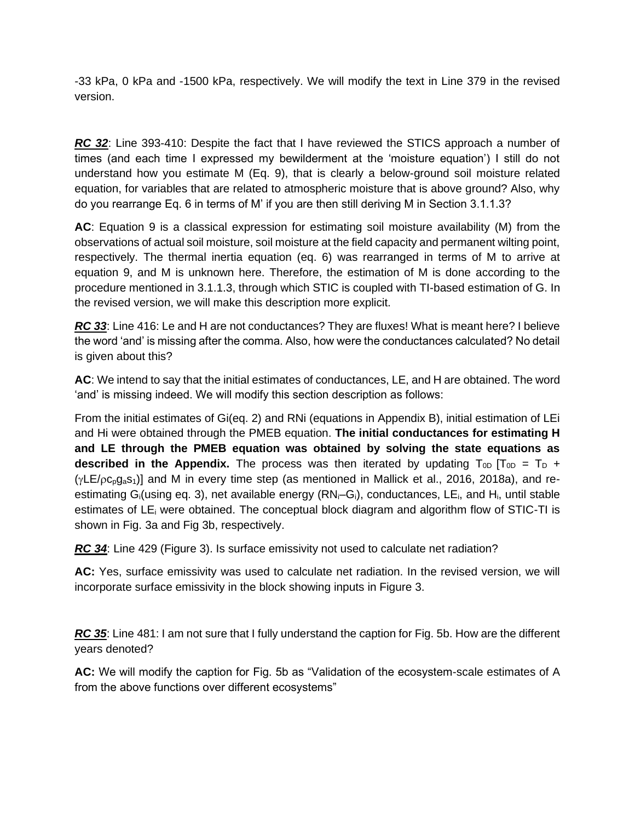-33 kPa, 0 kPa and -1500 kPa, respectively. We will modify the text in Line 379 in the revised version.

*RC 32*: Line 393-410: Despite the fact that I have reviewed the STICS approach a number of times (and each time I expressed my bewilderment at the 'moisture equation') I still do not understand how you estimate M (Eq. 9), that is clearly a below-ground soil moisture related equation, for variables that are related to atmospheric moisture that is above ground? Also, why do you rearrange Eq. 6 in terms of M' if you are then still deriving M in Section 3.1.1.3?

**AC**: Equation 9 is a classical expression for estimating soil moisture availability (M) from the observations of actual soil moisture, soil moisture at the field capacity and permanent wilting point, respectively. The thermal inertia equation (eq. 6) was rearranged in terms of M to arrive at equation 9, and M is unknown here. Therefore, the estimation of M is done according to the procedure mentioned in 3.1.1.3, through which STIC is coupled with TI-based estimation of G. In the revised version, we will make this description more explicit.

*RC 33*: Line 416: Le and H are not conductances? They are fluxes! What is meant here? I believe the word 'and' is missing after the comma. Also, how were the conductances calculated? No detail is given about this?

**AC**: We intend to say that the initial estimates of conductances, LE, and H are obtained. The word 'and' is missing indeed. We will modify this section description as follows:

From the initial estimates of Gi(eq. 2) and RNi (equations in Appendix B), initial estimation of LEi and Hi were obtained through the PMEB equation. **The initial conductances for estimating H and LE through the PMEB equation was obtained by solving the state equations as described in the Appendix.** The process was then iterated by updating  $T_{0D}$  [T<sub>0D</sub> = T<sub>D</sub> +  $(yLE/pc<sub>p</sub>qs<sub>1</sub>)$ ] and M in every time step (as mentioned in Mallick et al., 2016, 2018a), and reestimating G<sub>i</sub>(using eq. 3), net available energy  $(RN_i-G_i)$ , conductances, LE<sub>i</sub>, and H<sub>i</sub>, until stable estimates of LE<sup>i</sup> were obtained. The conceptual block diagram and algorithm flow of STIC-TI is shown in Fig. 3a and Fig 3b, respectively.

*RC 34*: Line 429 (Figure 3). Is surface emissivity not used to calculate net radiation?

**AC:** Yes, surface emissivity was used to calculate net radiation. In the revised version, we will incorporate surface emissivity in the block showing inputs in Figure 3.

*RC 35*: Line 481: I am not sure that I fully understand the caption for Fig. 5b. How are the different years denoted?

**AC:** We will modify the caption for Fig. 5b as "Validation of the ecosystem-scale estimates of A from the above functions over different ecosystems"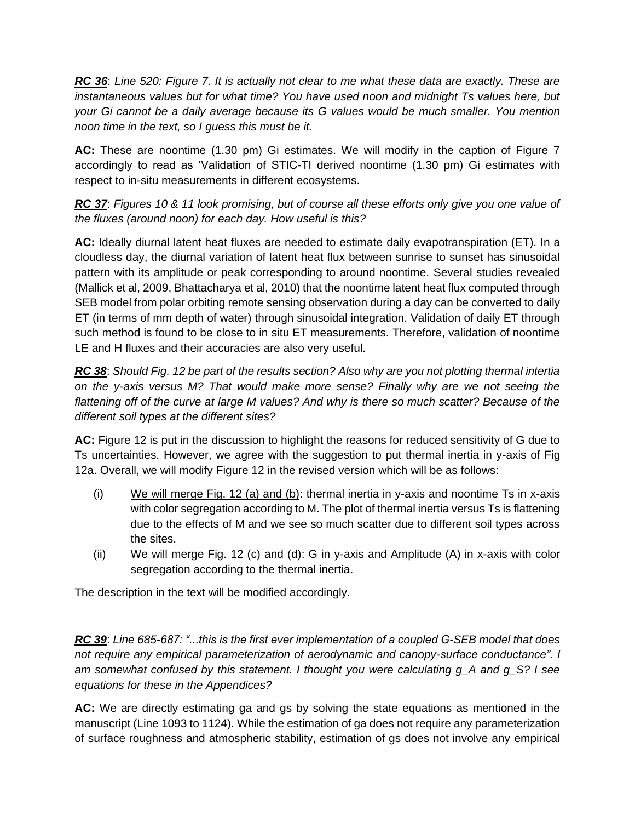*RC 36*: *Line 520: Figure 7. It is actually not clear to me what these data are exactly. These are instantaneous values but for what time? You have used noon and midnight Ts values here, but your Gi cannot be a daily average because its G values would be much smaller. You mention noon time in the text, so I guess this must be it.*

**AC:** These are noontime (1.30 pm) Gi estimates. We will modify in the caption of Figure 7 accordingly to read as 'Validation of STIC-TI derived noontime (1.30 pm) Gi estimates with respect to in-situ measurements in different ecosystems.

*RC 37*: *Figures 10 & 11 look promising, but of course all these efforts only give you one value of the fluxes (around noon) for each day. How useful is this?*

**AC:** Ideally diurnal latent heat fluxes are needed to estimate daily evapotranspiration (ET). In a cloudless day, the diurnal variation of latent heat flux between sunrise to sunset has sinusoidal pattern with its amplitude or peak corresponding to around noontime. Several studies revealed (Mallick et al, 2009, Bhattacharya et al, 2010) that the noontime latent heat flux computed through SEB model from polar orbiting remote sensing observation during a day can be converted to daily ET (in terms of mm depth of water) through sinusoidal integration. Validation of daily ET through such method is found to be close to in situ ET measurements. Therefore, validation of noontime LE and H fluxes and their accuracies are also very useful.

*RC 38*: *Should Fig. 12 be part of the results section? Also why are you not plotting thermal intertia on the y-axis versus M? That would make more sense? Finally why are we not seeing the flattening off of the curve at large M values? And why is there so much scatter? Because of the different soil types at the different sites?*

**AC:** Figure 12 is put in the discussion to highlight the reasons for reduced sensitivity of G due to Ts uncertainties. However, we agree with the suggestion to put thermal inertia in y-axis of Fig 12a. Overall, we will modify Figure 12 in the revised version which will be as follows:

- (i) We will merge Fig. 12 (a) and (b): thermal inertia in y-axis and noontime Ts in x-axis with color segregation according to M. The plot of thermal inertia versus Ts is flattening due to the effects of M and we see so much scatter due to different soil types across the sites.
- (ii) We will merge Fig. 12 (c) and (d): G in y-axis and Amplitude (A) in x-axis with color segregation according to the thermal inertia.

The description in the text will be modified accordingly.

*RC 39*: *Line 685-687: "...this is the first ever implementation of a coupled G-SEB model that does not require any empirical parameterization of aerodynamic and canopy-surface conductance". I am somewhat confused by this statement. I thought you were calculating g\_A and g\_S? I see equations for these in the Appendices?*

**AC:** We are directly estimating ga and gs by solving the state equations as mentioned in the manuscript (Line 1093 to 1124). While the estimation of ga does not require any parameterization of surface roughness and atmospheric stability, estimation of gs does not involve any empirical